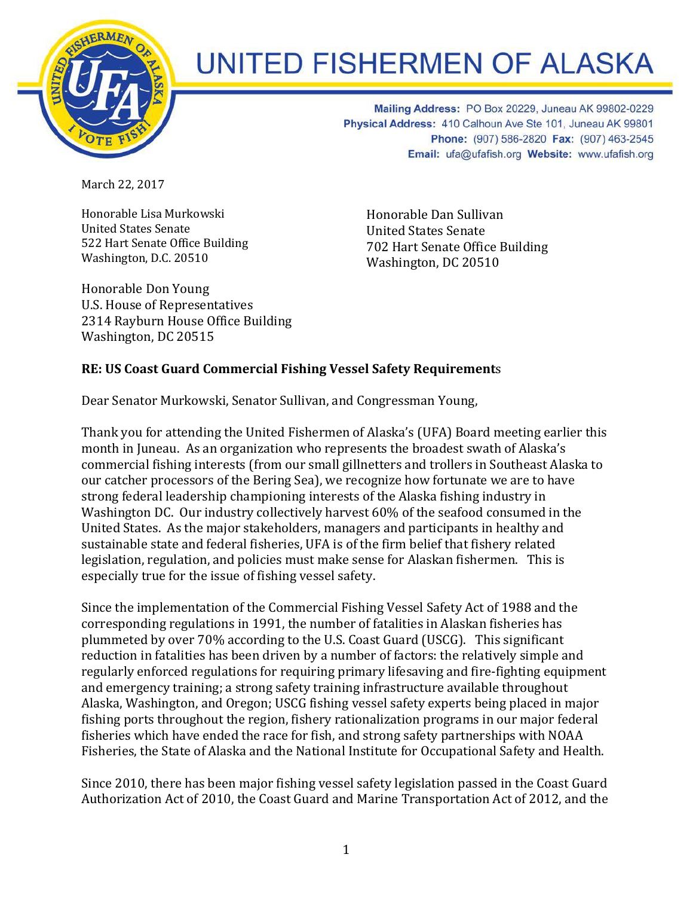

## **UNITED FISHERMEN OF ALASKA**

Mailing Address: PO Box 20229, Juneau AK 99802-0229 Physical Address: 410 Calhoun Ave Ste 101, Juneau AK 99801 Phone: (907) 586-2820 Fax: (907) 463-2545 Email: ufa@ufafish.org Website: www.ufafish.org

March 22, 2017

Honorable Lisa Murkowski United States Senate 522 Hart Senate Office Building Washington, D.C. 20510

Honorable Dan Sullivan United States Senate 702 Hart Senate Office Building Washington, DC 20510

Honorable Don Young U.S. House of Representatives 2314 Rayburn House Office Building Washington, DC 20515

## **RE: US Coast Guard Commercial Fishing Vessel Safety Requirement**s

Dear Senator Murkowski, Senator Sullivan, and Congressman Young,

Thank you for attending the United Fishermen of Alaska's (UFA) Board meeting earlier this month in Juneau. As an organization who represents the broadest swath of Alaska's commercial fishing interests (from our small gillnetters and trollers in Southeast Alaska to our catcher processors of the Bering Sea), we recognize how fortunate we are to have strong federal leadership championing interests of the Alaska fishing industry in Washington DC. Our industry collectively harvest 60% of the seafood consumed in the United States. As the major stakeholders, managers and participants in healthy and sustainable state and federal fisheries, UFA is of the firm belief that fishery related legislation, regulation, and policies must make sense for Alaskan fishermen. This is especially true for the issue of fishing vessel safety.

Since the implementation of the Commercial Fishing Vessel Safety Act of 1988 and the corresponding regulations in 1991, the number of fatalities in Alaskan fisheries has plummeted by over 70% according to the U.S. Coast Guard (USCG). This significant reduction in fatalities has been driven by a number of factors: the relatively simple and regularly enforced regulations for requiring primary lifesaving and fire-fighting equipment and emergency training; a strong safety training infrastructure available throughout Alaska, Washington, and Oregon; USCG fishing vessel safety experts being placed in major fishing ports throughout the region, fishery rationalization programs in our major federal fisheries which have ended the race for fish, and strong safety partnerships with NOAA Fisheries, the State of Alaska and the National Institute for Occupational Safety and Health.

Since 2010, there has been major fishing vessel safety legislation passed in the Coast Guard Authorization Act of 2010, the Coast Guard and Marine Transportation Act of 2012, and the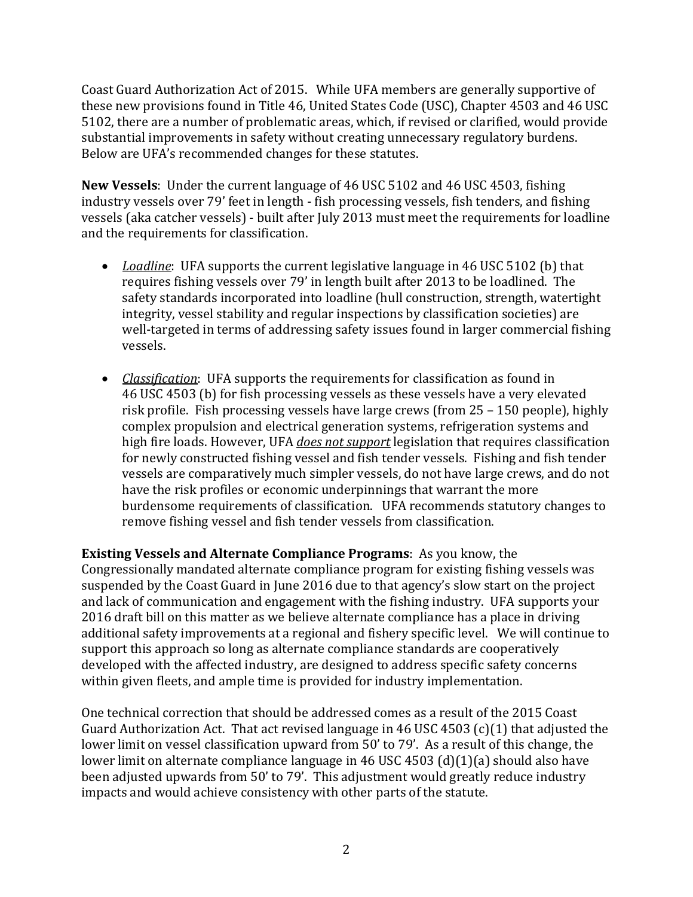Coast Guard Authorization Act of 2015. While UFA members are generally supportive of these new provisions found in Title 46, United States Code (USC), Chapter 4503 and 46 USC 5102, there are a number of problematic areas, which, if revised or clarified, would provide substantial improvements in safety without creating unnecessary regulatory burdens. Below are UFA's recommended changes for these statutes.

**New Vessels**: Under the current language of 46 USC 5102 and 46 USC 4503, fishing industry vessels over 79' feet in length - fish processing vessels, fish tenders, and fishing vessels (aka catcher vessels) - built after July 2013 must meet the requirements for loadline and the requirements for classification.

- *Loadline*: UFA supports the current legislative language in 46 USC 5102 (b) that requires fishing vessels over 79' in length built after 2013 to be loadlined. The safety standards incorporated into loadline (hull construction, strength, watertight integrity, vessel stability and regular inspections by classification societies) are well-targeted in terms of addressing safety issues found in larger commercial fishing vessels.
- *Classification*: UFA supports the requirements for classification as found in 46 USC 4503 (b) for fish processing vessels as these vessels have a very elevated risk profile. Fish processing vessels have large crews (from 25 – 150 people), highly complex propulsion and electrical generation systems, refrigeration systems and high fire loads. However, UFA *does not support* legislation that requires classification for newly constructed fishing vessel and fish tender vessels. Fishing and fish tender vessels are comparatively much simpler vessels, do not have large crews, and do not have the risk profiles or economic underpinnings that warrant the more burdensome requirements of classification. UFA recommends statutory changes to remove fishing vessel and fish tender vessels from classification.

**Existing Vessels and Alternate Compliance Programs**: As you know, the Congressionally mandated alternate compliance program for existing fishing vessels was suspended by the Coast Guard in June 2016 due to that agency's slow start on the project and lack of communication and engagement with the fishing industry. UFA supports your 2016 draft bill on this matter as we believe alternate compliance has a place in driving additional safety improvements at a regional and fishery specific level. We will continue to support this approach so long as alternate compliance standards are cooperatively developed with the affected industry, are designed to address specific safety concerns within given fleets, and ample time is provided for industry implementation.

One technical correction that should be addressed comes as a result of the 2015 Coast Guard Authorization Act. That act revised language in 46 USC 4503 (c)(1) that adjusted the lower limit on vessel classification upward from 50' to 79'. As a result of this change, the lower limit on alternate compliance language in 46 USC 4503 (d)(1)(a) should also have been adjusted upwards from 50' to 79'. This adjustment would greatly reduce industry impacts and would achieve consistency with other parts of the statute.